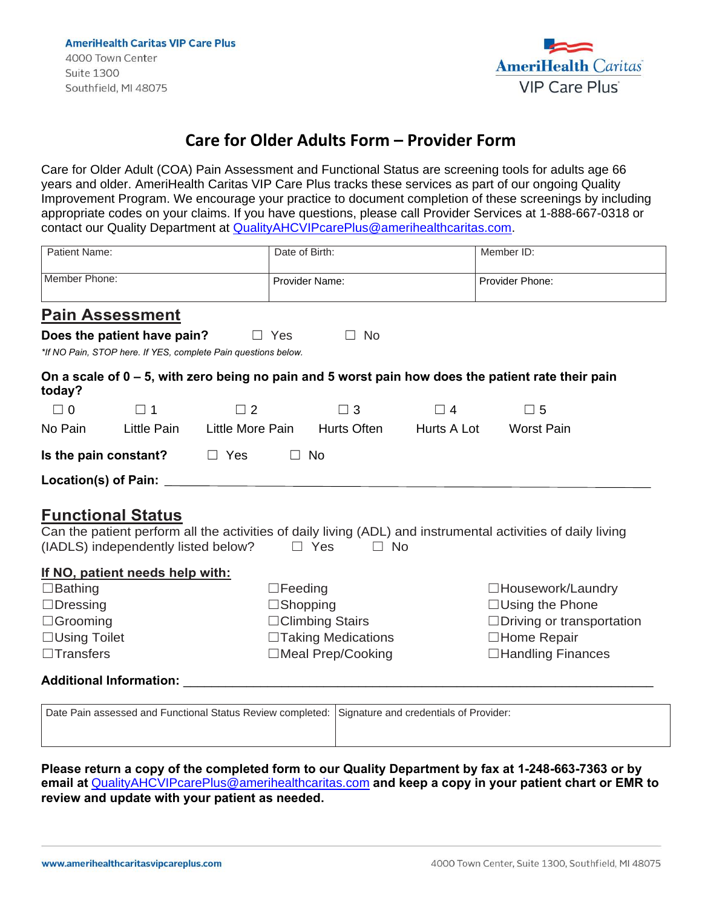

## **Care for Older Adults Form – Provider Form**

Care for Older Adult (COA) Pain Assessment and Functional Status are screening tools for adults age 66 years and older. AmeriHealth Caritas VIP Care Plus tracks these services as part of our ongoing Quality Improvement Program. We encourage your practice to document completion of these screenings by including appropriate codes on your claims. If you have questions, please call Provider Services at 1-888-667-0318 or contact our Quality Department at [QualityAHCVIPcarePlus@amerihealthcaritas.com.](mailto:QualityAHCVIPcarePlus@amerihealthcaritas.com)

| Patient Name:                                                                             |                                                                 |                                                                                                                                                                                                                                | Date of Birth:          |                    | Member ID:                                                                                                   |  |
|-------------------------------------------------------------------------------------------|-----------------------------------------------------------------|--------------------------------------------------------------------------------------------------------------------------------------------------------------------------------------------------------------------------------|-------------------------|--------------------|--------------------------------------------------------------------------------------------------------------|--|
| Member Phone:                                                                             |                                                                 |                                                                                                                                                                                                                                | Provider Name:          |                    | Provider Phone:                                                                                              |  |
|                                                                                           | <b>Pain Assessment</b>                                          |                                                                                                                                                                                                                                |                         |                    |                                                                                                              |  |
|                                                                                           | Does the patient have pain?                                     | $\Box$ Yes                                                                                                                                                                                                                     | <b>No</b><br>$\perp$    |                    |                                                                                                              |  |
|                                                                                           |                                                                 | *If NO Pain, STOP here. If YES, complete Pain questions below.                                                                                                                                                                 |                         |                    |                                                                                                              |  |
| today?                                                                                    |                                                                 |                                                                                                                                                                                                                                |                         |                    | On a scale of $0 - 5$ , with zero being no pain and 5 worst pain how does the patient rate their pain        |  |
| $\Box$ 0                                                                                  | $\square$ 1                                                     | $\Box$ 2                                                                                                                                                                                                                       | $\Box$ 3                | $\Box$ 4           | $\square$ 5                                                                                                  |  |
| No Pain                                                                                   | Little Pain                                                     | Little More Pain Hurts Often                                                                                                                                                                                                   |                         | <b>Hurts A Lot</b> | <b>Worst Pain</b>                                                                                            |  |
|                                                                                           | Is the pain constant?                                           | $\Box$ Yes                                                                                                                                                                                                                     | $\Box$ No               |                    |                                                                                                              |  |
|                                                                                           |                                                                 | Location(s) of Pain: Letters and the set of the set of the set of the set of the set of the set of the set of the set of the set of the set of the set of the set of the set of the set of the set of the set of the set of th |                         |                    |                                                                                                              |  |
|                                                                                           | <b>Functional Status</b><br>(IADLS) independently listed below? |                                                                                                                                                                                                                                |                         |                    | Can the patient perform all the activities of daily living (ADL) and instrumental activities of daily living |  |
|                                                                                           |                                                                 |                                                                                                                                                                                                                                | $\Box$ Yes<br>$\Box$ No |                    |                                                                                                              |  |
|                                                                                           |                                                                 |                                                                                                                                                                                                                                |                         |                    |                                                                                                              |  |
|                                                                                           | If NO, patient needs help with:                                 | $\Box$ Feeding                                                                                                                                                                                                                 |                         |                    | □Housework/Laundry                                                                                           |  |
|                                                                                           |                                                                 | $\Box$ Shopping                                                                                                                                                                                                                |                         |                    | $\Box$ Using the Phone                                                                                       |  |
|                                                                                           |                                                                 |                                                                                                                                                                                                                                | $\Box$ Climbing Stairs  |                    | $\Box$ Driving or transportation                                                                             |  |
|                                                                                           |                                                                 |                                                                                                                                                                                                                                | □Taking Medications     |                    | □Home Repair                                                                                                 |  |
|                                                                                           |                                                                 |                                                                                                                                                                                                                                | □Meal Prep/Cooking      |                    | □Handling Finances                                                                                           |  |
| $\Box$ Bathing<br>$\Box$ Dressing<br>$\Box$ Grooming<br>□Using Toilet<br>$\Box$ Transfers |                                                                 | Additional Information: Analysis of the Contractor of the Contractor of the Contractor of the Contractor of the Contractor of the Contractor of the Contractor of the Contractor of the Contractor of the Contractor of the Co |                         |                    |                                                                                                              |  |

**Please return a copy of the completed form to our Quality Department by fax at 1-248-663-7363 or by email at** [QualityAHCVIPcarePlus@amerihealthcaritas.com](mailto:QualityAHCVIPcarePlus@amerihealthcaritas.com) **and keep a copy in your patient chart or EMR to review and update with your patient as needed.**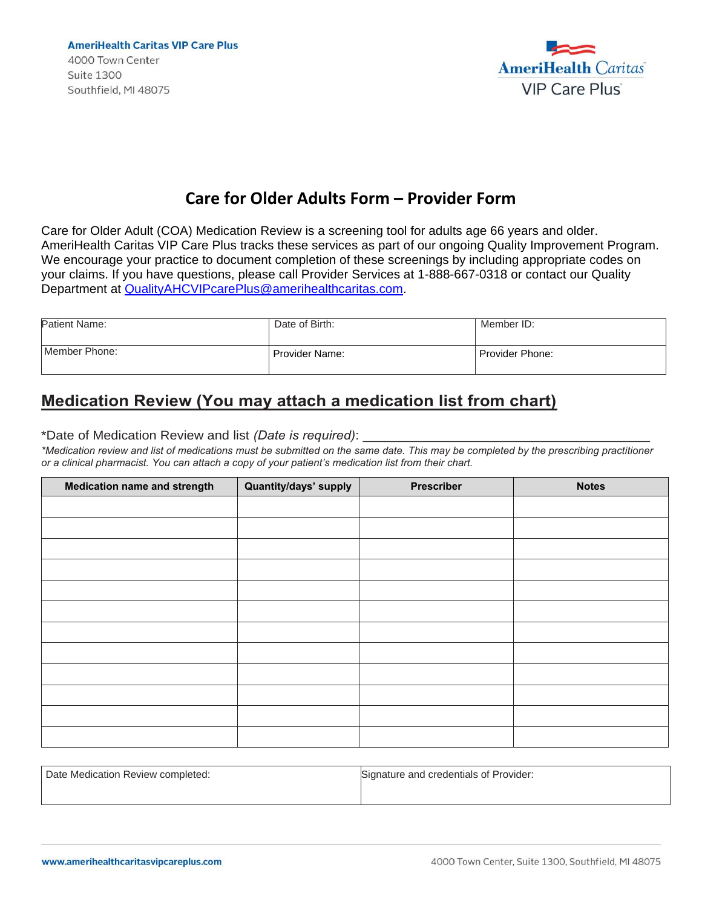**AmeriHealth Caritas VIP Care Plus** 4000 Town Center **Suite 1300** Southfield, MI 48075



## **Care for Older Adults Form – Provider Form**

Care for Older Adult (COA) Medication Review is a screening tool for adults age 66 years and older. AmeriHealth Caritas VIP Care Plus tracks these services as part of our ongoing Quality Improvement Program. We encourage your practice to document completion of these screenings by including appropriate codes on your claims. If you have questions, please call Provider Services at 1-888-667-0318 or contact our Quality Department at [QualityAHCVIPcarePlus@amerihealthcaritas.com.](mailto:QualityAHCVIPcarePlus@amerihealthcaritas.com)

| Patient Name: | Date of Birth: | Member ID:      |
|---------------|----------------|-----------------|
| Member Phone: | Provider Name: | Provider Phone: |

## **Medication Review (You may attach a medication list from chart)**

\*Date of Medication Review and list *(Date is required)*:

*\*Medication review and list of medications must be submitted on the same date. This may be completed by the prescribing practitioner or a clinical pharmacist. You can attach a copy of your patient's medication list from their chart.* 

| <b>Medication name and strength</b> | Quantity/days' supply | Prescriber | <b>Notes</b> |
|-------------------------------------|-----------------------|------------|--------------|
|                                     |                       |            |              |
|                                     |                       |            |              |
|                                     |                       |            |              |
|                                     |                       |            |              |
|                                     |                       |            |              |
|                                     |                       |            |              |
|                                     |                       |            |              |
|                                     |                       |            |              |
|                                     |                       |            |              |
|                                     |                       |            |              |
|                                     |                       |            |              |
|                                     |                       |            |              |

Date Medication Review completed: Signature and credentials of Provider: